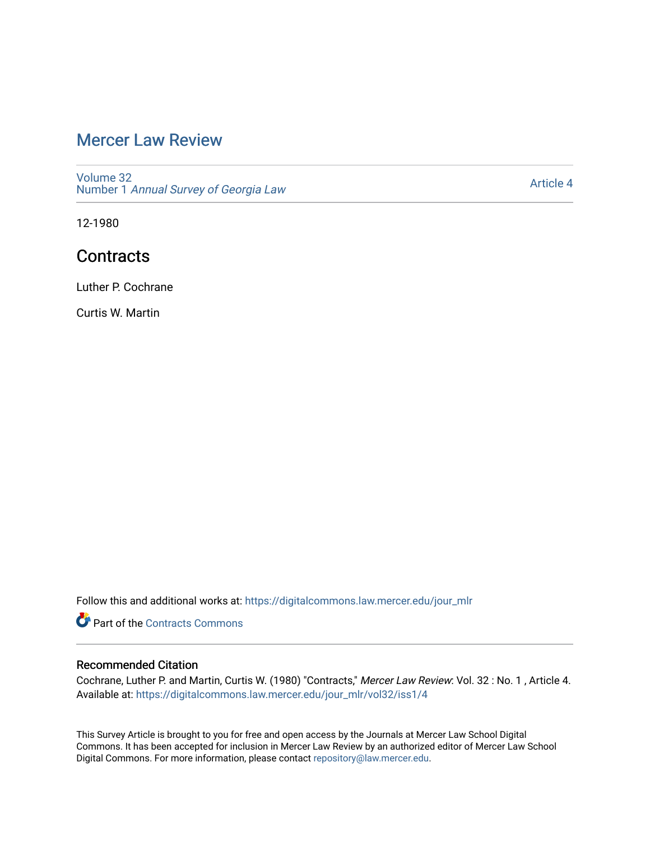# [Mercer Law Review](https://digitalcommons.law.mercer.edu/jour_mlr)

[Volume 32](https://digitalcommons.law.mercer.edu/jour_mlr/vol32) Number 1 [Annual Survey of Georgia Law](https://digitalcommons.law.mercer.edu/jour_mlr/vol32/iss1) 

[Article 4](https://digitalcommons.law.mercer.edu/jour_mlr/vol32/iss1/4) 

12-1980

### **Contracts**

Luther P. Cochrane

Curtis W. Martin

Follow this and additional works at: [https://digitalcommons.law.mercer.edu/jour\\_mlr](https://digitalcommons.law.mercer.edu/jour_mlr?utm_source=digitalcommons.law.mercer.edu%2Fjour_mlr%2Fvol32%2Fiss1%2F4&utm_medium=PDF&utm_campaign=PDFCoverPages)

**Part of the [Contracts Commons](http://network.bepress.com/hgg/discipline/591?utm_source=digitalcommons.law.mercer.edu%2Fjour_mlr%2Fvol32%2Fiss1%2F4&utm_medium=PDF&utm_campaign=PDFCoverPages)** 

#### Recommended Citation

Cochrane, Luther P. and Martin, Curtis W. (1980) "Contracts," Mercer Law Review: Vol. 32 : No. 1 , Article 4. Available at: [https://digitalcommons.law.mercer.edu/jour\\_mlr/vol32/iss1/4](https://digitalcommons.law.mercer.edu/jour_mlr/vol32/iss1/4?utm_source=digitalcommons.law.mercer.edu%2Fjour_mlr%2Fvol32%2Fiss1%2F4&utm_medium=PDF&utm_campaign=PDFCoverPages)

This Survey Article is brought to you for free and open access by the Journals at Mercer Law School Digital Commons. It has been accepted for inclusion in Mercer Law Review by an authorized editor of Mercer Law School Digital Commons. For more information, please contact [repository@law.mercer.edu](mailto:repository@law.mercer.edu).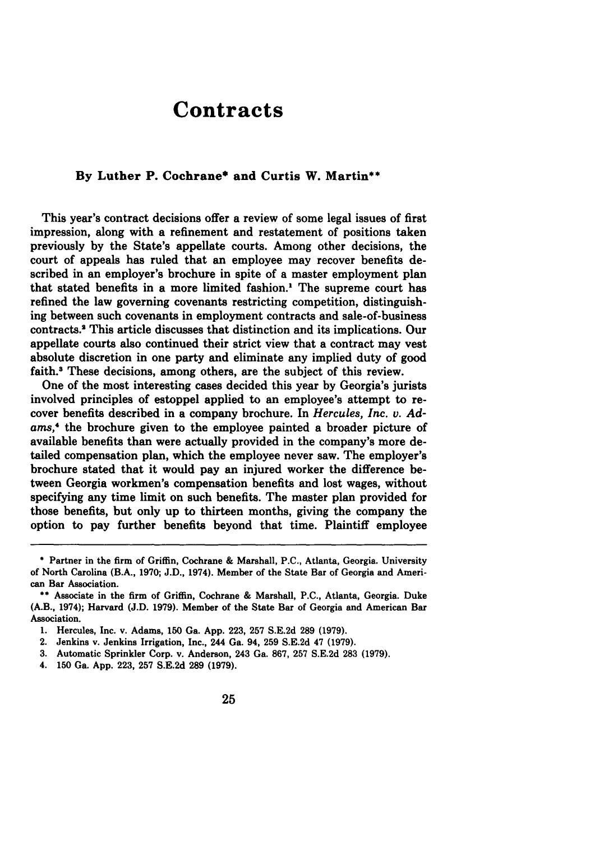## **Contracts**

#### **By Luther P. Cochrane\* and Curtis W. Martin\*\***

**This** year's contract decisions offer a review of some legal issues of first impression, along with a refinement and restatement of positions taken previously **by** the State's appellate courts. Among other decisions, the court of appeals has ruled that an employee may recover benefits described in an employer's brochure in spite of a master employment plan that stated benefits in a more limited fashion.' The supreme court has refined the law governing covenants restricting competition, distinguishing between such covenants in employment contracts and sale-of-business contracts.' This article discusses that distinction and its implications. Our appellate courts also continued their strict view that a contract may vest absolute discretion in one party and eliminate any implied duty of good faith.3 These decisions, among others, are the subject of this review.

One of the most interesting cases decided this year **by** Georgia's jurists involved principles of estoppel applied to an employee's attempt to recover benefits described in a company brochure. In *Hercules, Inc. v. Adams,4* the brochure given to the employee painted a broader picture of available benefits than were actually provided in the company's more detailed compensation plan, which the employee never saw. The employer's brochure stated that it would pay an injured worker the difference between Georgia workmen's compensation benefits and lost wages, without specifying any time limit on such benefits. The master plan provided for those benefits, but only up to thirteen months, giving the company the option to pay further benefits beyond that time. Plaintiff employee

4. **150** Ga. **App. 223, 257 S.E.2d 289 (1979).**

**<sup>\*</sup>** Partner in the firm of Griffin, Cochrane **&** Marshall, **P.C.,** Atlanta, Georgia. University of North Carolina (B.A., **1970; J.D.,** 1974). Member of the State Bar of Georgia and American Bar Association.

**<sup>\*\*</sup>** Associate in the firm of Griffin, Cochrane **&** Marshall, **P.C.,** Atlanta, Georgia. Duke (A.B., 1974); Harvard **(J.D. 1979).** Member of the State Bar of Georgia and American Bar Association.

**<sup>1.</sup>** Hercules, Inc. v. Adams, **150** Ga. **App. 223, 257 S.E.2d 289 (1979).**

<sup>2.</sup> Jenkins v. Jenkins Irrigation, Inc., 244 Ga. 94, **259 S.E.2d** 47 **(1979).**

**<sup>3.</sup>** Automatic Sprinkler Corp. v. Anderson, 243 Ga. **867, 257 S.E.2d 283 (1979).**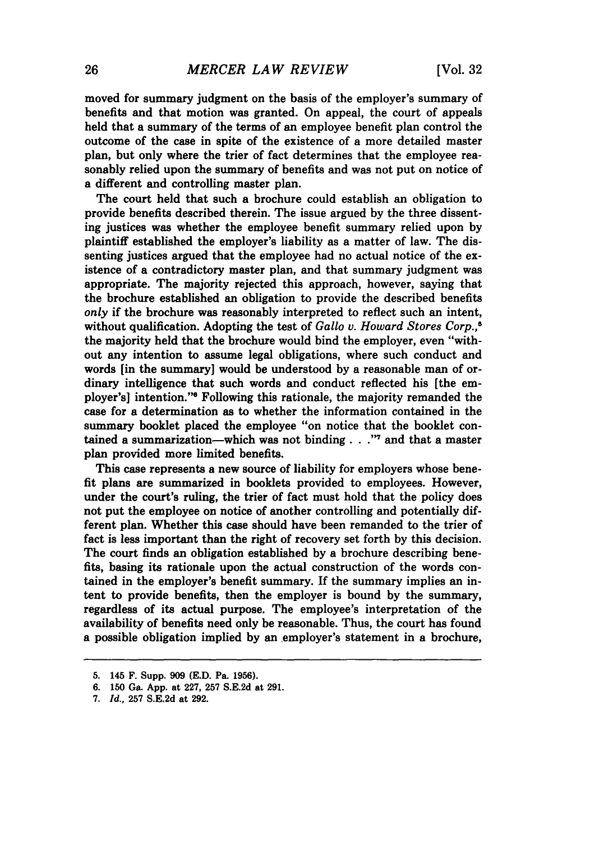moved for summary judgment on the basis of the employer's summary of benefits and that motion was granted. On appeal, the court of appeals held that a summary of the terms of an employee benefit plan control the outcome of the case in spite of the existence of a more detailed master plan, but only where the trier of fact determines that the employee reasonably relied upon the summary of benefits and was not put on notice of a different and controlling master plan.

The court held that such a brochure could establish an obligation to provide benefits described therein. The issue argued **by** the three dissenting justices was whether the employee benefit summary relied upon **by** plaintiff established the employer's liability as a matter of law. The dissenting justices argued that the employee had no actual notice of the existence of a contradictory master plan, and that summary judgment was appropriate. The majority rejected this approach, however, saying that the brochure established an obligation to provide the described benefits *only* if the brochure was reasonably interpreted to reflect such an intent, without qualification. Adopting the test of *Gallo v. Howard Stores Corp.,6* the majority held that the brochure would bind the employer, even "without any intention to assume legal obligations, where such conduct and words [in the summary] would be understood **by** a reasonable man of ordinary intelligence that such words and conduct reflected his [the employer's] intention."<sup>8</sup> Following this rationale, the majority remanded the case for a determination as to whether the information contained in the summary booklet placed the employee "on notice that the booklet contained a summarization-which was not binding . . ."<sup>7</sup> and that a master plan provided more limited benefits.

This case represents a new source of liability for employers whose benefit plans are summarized in booklets provided to employees. However, under the court's ruling, the trier of fact must hold that the policy does not put the employee on notice of another controlling and potentially different plan. Whether this case should have been remanded to the trier of fact is less important than the right of recovery set forth **by** this decision. The court finds an obligation established **by** a brochure describing benefits, basing its rationale upon the actual construction of the words contained in the employer's benefit summary. If the summary implies an intent to provide benefits, then the employer is bound **by** the summary, regardless of its actual purpose. The employee's interpretation of the availability of benefits need only be reasonable. Thus, the court has found a possible obligation implied **by** an employer's statement in a brochure,

**<sup>5.</sup>** 145 F. Supp. **909 (E.D.** Pa. **1956).**

**<sup>6. 150</sup>** Ga. **App.** at **227, 257 S.E.2d** at **291.**

**<sup>7.</sup>** *Id.,* **257 S.E.2d** at **292.**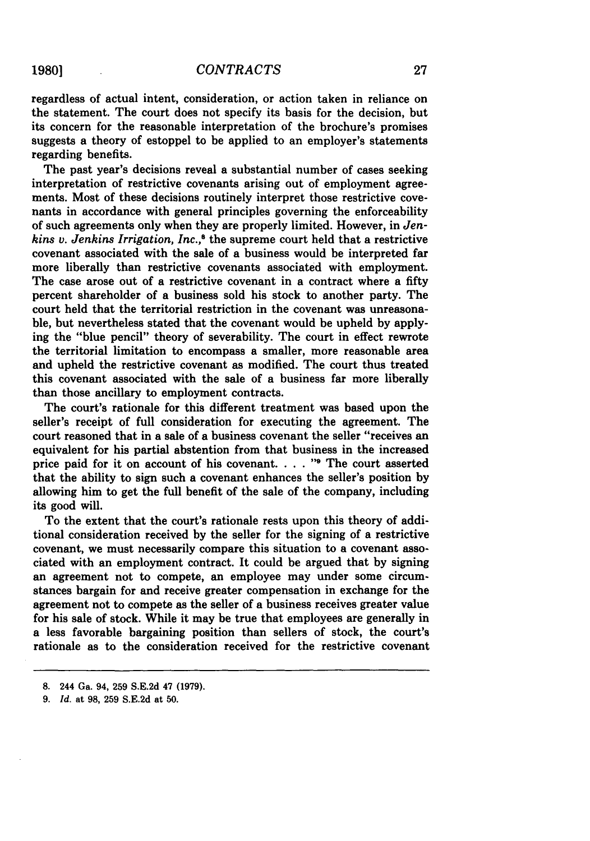regardless of actual intent, consideration, or action taken in reliance on the statement. The court does not specify its basis for the decision, but its concern for the reasonable interpretation of the brochure's promises suggests a theory of estoppel to be applied to an employer's statements regarding benefits.

The past year's decisions reveal a substantial number of cases seeking interpretation of restrictive covenants arising out of employment agreements. Most of these decisions routinely interpret those restrictive covenants in accordance with general principles governing the enforceability of such agreements only when they are properly limited. However, in *Jenkins v. Jenkins Irrigation, Inc.,8* the supreme court held that a restrictive covenant associated with the sale of a business would be interpreted far more liberally than restrictive covenants associated with employment. The case arose out of a restrictive covenant in a contract where a fifty percent shareholder of a business sold his stock to another party. The court held that the territorial restriction in the covenant was unreasonable, but nevertheless stated that the covenant would be upheld by applying the "blue pencil" theory of severability. The court in effect rewrote the territorial limitation to encompass a smaller, more reasonable area and upheld the restrictive covenant as modified. The court thus treated this covenant associated with the sale of a business far more liberally than those ancillary to employment contracts.

The court's rationale for this different treatment was based upon the seller's receipt of full consideration for executing the agreement. The court reasoned that in a sale of a business covenant the seller "receives an equivalent for his partial abstention from that business in the increased price paid for it on account of his covenant. . . . "<sup>9</sup> The court asserted that the ability to sign such a covenant enhances the seller's position by allowing him to get the full benefit of the sale of the company, including its good will.

To the extent that the court's rationale rests upon this theory of additional consideration received by the seller for the signing of a restrictive covenant, we must necessarily compare this situation to a covenant associated with an employment contract. It could be argued that by signing an agreement not to compete, an employee may under some circumstances bargain for and receive greater compensation in exchange for the agreement not to compete as the seller of a business receives greater value for his sale of stock. While it may be true that employees are generally in a less favorable bargaining position than sellers of stock, the court's rationale as to the consideration received for the restrictive covenant

**<sup>8.</sup>** 244 Ga. 94, **259 S.E.2d** 47 **(1979).**

*<sup>9.</sup> Id.* at **98, 259 S.E.2d** at **50.**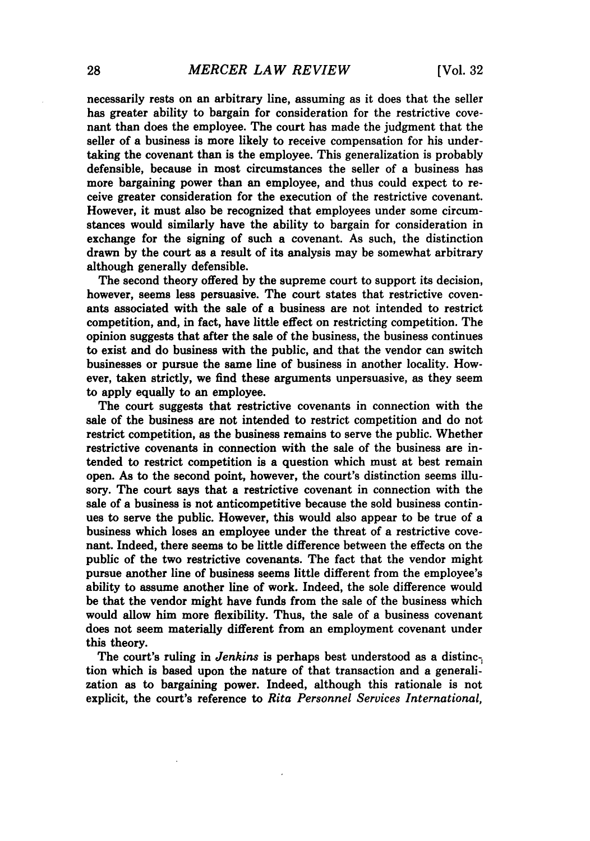necessarily rests on an arbitrary line, assuming as it does that the seller has greater ability to bargain for consideration for the restrictive covenant than does the employee. The court has made the judgment that the seller of a business is more likely to receive compensation for his undertaking the covenant than is the employee. This generalization is probably defensible, because in most circumstances the seller of a business has more bargaining power than an employee, and thus could expect to receive greater consideration for the execution of the restrictive covenant. However, it must also be recognized that employees under some circumstances would similarly have the ability to bargain for consideration in exchange for the signing of such a covenant. As such, the distinction drawn by the court as a result of its analysis may be somewhat arbitrary although generally defensible.

The second theory offered by the supreme court to support its decision, however, seems less persuasive. The court states that restrictive covenants associated with the sale of a business are not intended to restrict competition, and, in fact, have little effect on restricting competition. The opinion suggests that after the sale of the business, the business continues to exist and do business with the public, and that the vendor can switch businesses or pursue the same line of business in another locality. However, taken strictly, we find these arguments unpersuasive, as they seem to apply equally to an employee.

The court suggests that restrictive covenants in connection with the sale of the business are not intended to restrict competition and do not restrict competition, as the business remains to serve the public. Whether restrictive covenants in connection with the sale of the business are intended to restrict competition is a question which must at best remain open. As to the second point, however, the court's distinction seems illusory. The court says that a restrictive covenant in connection with the sale of a business is not anticompetitive because the sold business continues to serve the public. However, this would also appear to be true of a business which loses an employee under the threat of a restrictive covenant. Indeed, there seems to be little difference between the effects on the public of the two restrictive covenants. The fact that the vendor might pursue another line of business seems little different from the employee's ability to assume another line of work. Indeed, the sole difference would be that the vendor might have funds from the sale of the business which would allow him more flexibility. Thus, the sale of a business covenant does not seem materially different from an employment covenant under this theory.

The court's ruling in *Jenkins* is perhaps best understood as a distinction which is based upon the nature of that transaction and a generalization as to bargaining power. Indeed, although this rationale is not explicit, the court's reference to *Rita Personnel Services International,*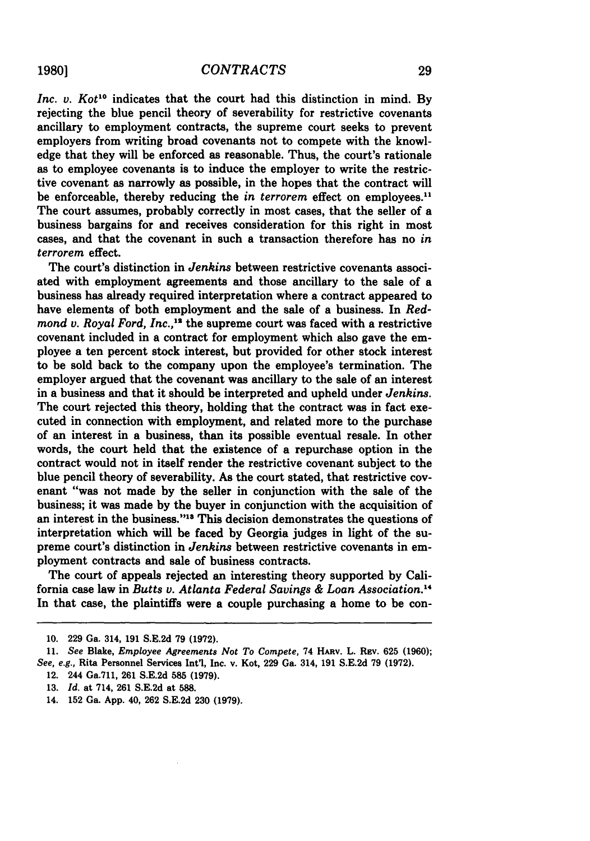#### *CONTRACTS*

*Inc. v. Kot*<sup>10</sup> indicates that the court had this distinction in mind. By rejecting the blue pencil theory of severability for restrictive covenants ancillary to employment contracts, the supreme court seeks to prevent employers from writing broad covenants not to compete with the knowledge that they will be enforced as reasonable. Thus, the court's rationale as to employee covenants is to induce the employer to write the restrictive covenant as narrowly as possible, in the hopes that the contract will be enforceable, thereby reducing the *in terrorem* effect on employees." The court assumes, probably correctly in most cases, that the seller of a business bargains for and receives consideration for this right in most cases, and that the covenant in such a transaction therefore has no *in terrorem* effect.

The court's distinction in *Jenkins* between restrictive covenants associated with employment agreements and those ancillary to the sale of a business has already required interpretation where a contract appeared to have elements of both employment and the sale of a business. In *Redmond v. Royal Ford, Inc.,"1* the supreme court was faced with a restrictive covenant included in a contract for employment which also gave the employee a ten percent stock interest, but provided for other stock interest to be sold back to the company upon the employee's termination. The employer argued that the covenant was ancillary to the sale of an interest in a business and that it should be interpreted and upheld under *Jenkins.* The court rejected this theory, holding that the contract was in fact executed in connection with employment, and related more to the purchase of an interest in a business, than its possible eventual resale. In other words, the court held that the existence of a repurchase option in the contract would not in itself render the restrictive covenant subject to the blue pencil theory of severability. As the court stated, that restrictive covenant "was not made **by** the seller in conjunction with the sale of the business; it was made **by** the buyer in conjunction with the acquisition of an interest in the business."<sup>13</sup> This decision demonstrates the questions of interpretation which will be faced **by** Georgia judges in light of the supreme court's distinction in *Jenkins* between restrictive covenants in employment contracts and sale of business contracts.

The court of appeals rejected an interesting theory supported **by** California case law in *Butts v. Atlanta Federal Savings & Loan Association.1 <sup>4</sup>* In that case, the plaintiffs were a couple purchasing a home to be con-

- 
- **13.** *Id.* at 714, **261 S.E.2d** at **588.**
- 14. **152** Ga. **App.** 40, **262 S.E.2d 230 (1979).**

**<sup>10. 229</sup>** Ga. 314, **191 S.E.2d 79 (1972).**

<sup>11.</sup> See Blake, *Employee Agreements Not To Compete*, 74 HARV. L. REV. 625 (1960); *See, e.g.,* Rita Personnel Services Int'l, Inc. v. Kot, **229** Ga. 314, **191 S.E.2d 79 (1972).** 12. 244 Ga.711, **261 S.E.2d 585 (1979).**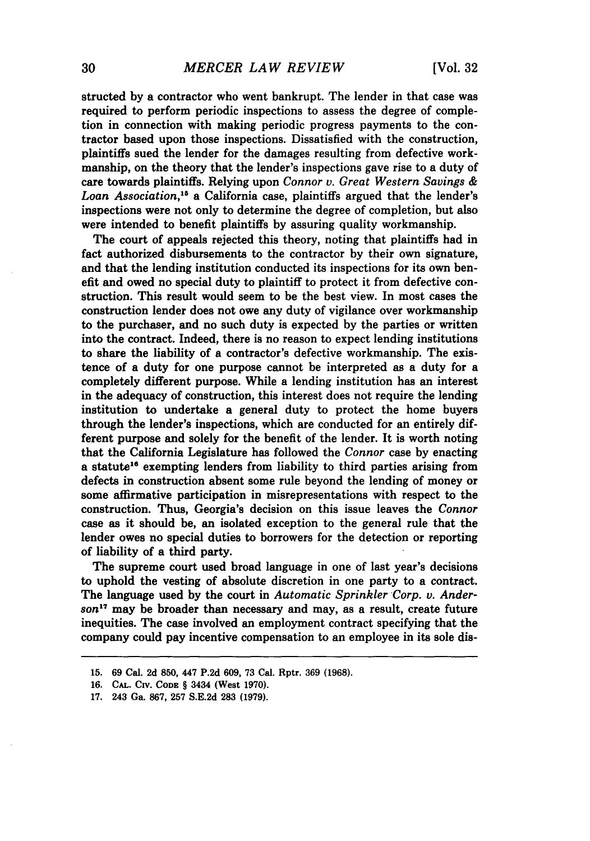structed **by** a contractor who went bankrupt. The lender in that case was required to perform periodic inspections to assess the degree of completion in connection with making periodic progress payments to the contractor based upon those inspections. Dissatisfied with the construction, plaintiffs sued the lender for the damages resulting from defective workmanship, on the theory that the lender's inspections gave rise to a duty of care towards plaintiffs. Relying upon *Connor v. Great Western Savings & Loan Association,"* a California case, plaintiffs argued that the lender's inspections were not only to determine the degree of completion, but also were intended to benefit plaintiffs by assuring quality workmanship.

The court of appeals rejected this theory, noting that plaintiffs had in fact authorized disbursements to the contractor by their own signature, and that the lending institution conducted its inspections for its own benefit and owed no special duty to plaintiff to protect it from defective construction. This result would seem to be the best view. In most cases the construction lender does not owe any duty of vigilance over workmanship to the purchaser, and no such duty is expected by the parties or written into the contract. Indeed, there is no reason to expect lending institutions to share the liability of a contractor's defective workmanship. The existence of a duty for one purpose cannot be interpreted as a duty for a completely different purpose. While a lending institution has an interest in the adequacy of construction, this interest does not require the lending institution to undertake a general duty to protect the home buyers through the lender's inspections, which are conducted for an entirely different purpose and solely for the benefit of the lender. It is worth noting that the California Legislature has followed the *Connor* case by enacting a statute<sup>16</sup> exempting lenders from liability to third parties arising from defects in construction absent some rule beyond the lending of money or some affirmative participation in misrepresentations with respect to the construction. Thus, Georgia's decision on this issue leaves the *Connor* case as it should be, an isolated exception to the general rule that the lender owes no special duties to borrowers for the detection or reporting of liability of a third party.

The supreme court used broad language in one of last year's decisions to uphold the vesting of absolute discretion in one party to a contract. The language used by the court in *Automatic Sprinkler Corp. v. Ander*son<sup>17</sup> may be broader than necessary and may, as a result, create future inequities. The case involved an employment contract specifying that the company could pay incentive compensation to an employee in its sole dis-

**<sup>15. 69</sup>** Cal. **2d 850,** 447 **P.2d 609, 73** Cal. Rptr. **369 (1968).**

**<sup>16.</sup> CAL.** Civ. **CODE** § 3434 (West **1970).**

**<sup>17.</sup>** 243 Ga. **867, 257 S.E.2d 283 (1979).**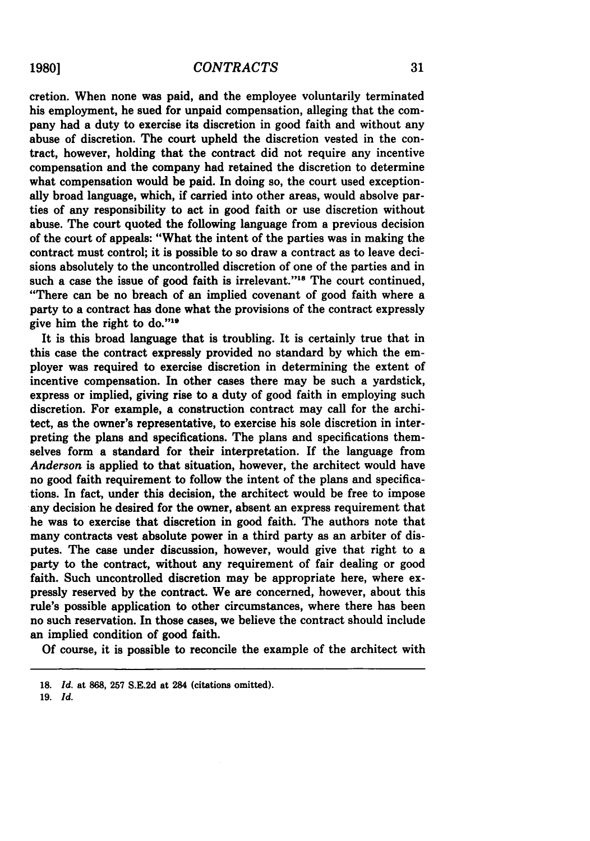cretion. When none was paid, and the employee voluntarily terminated his employment, he sued for unpaid compensation, alleging that the company had a duty to exercise its discretion in good faith and without any abuse of discretion. The court upheld the discretion vested in the contract, however, holding that the contract did not require any incentive compensation and the company had retained the discretion to determine what compensation would be paid. In doing so, the court used exceptionally broad language, which, if carried into other areas, would absolve parties of any responsibility to act in good faith or use discretion without abuse. The court quoted the following language from a previous decision of the court of appeals: "What the intent of the parties was in making the contract must control; it is possible to so draw a contract as to leave decisions absolutely to the uncontrolled discretion of one of the parties and in such a case the issue of good faith is irrelevant."<sup>18</sup> The court continued, "There can be no breach of an implied covenant of good faith where a party to a contract has done what the provisions of the contract expressly give him the right to do."19

It is this broad language that is troubling. It is certainly true that in this case the contract expressly provided no standard **by** which the employer was required to exercise discretion in determining the extent of incentive compensation. In other cases there may be such a yardstick, express or implied, giving rise to a duty of good faith in employing such discretion. For example, a construction contract may call for the architect, as the owner's representative, to exercise his sole discretion in interpreting the plans and specifications. The plans and specifications themselves form a standard for their interpretation. **If** the language from *Anderson* is applied to that situation, however, the architect would have no good faith requirement to follow the intent of the plans and specifications. In fact, under this decision, the architect would be free to impose any decision he desired for the owner, absent an express requirement that he was to exercise that discretion in good faith. The authors note that many contracts vest absolute power in a third party as an arbiter of disputes. The case under discussion, however, would give that right to a party to the contract, without any requirement of fair dealing or good faith. Such uncontrolled discretion may be appropriate here, where expressly reserved **by** the contract. We are concerned, however, about this rule's possible application to other circumstances, where there has been no such reservation. In those cases, we believe the contract should include an implied condition of good faith.

**Of** course, it is possible to reconcile the example of the architect with

**19.** *Id.*

**<sup>18.</sup>** *Id.* at **868, 257 S.E.2d** at 284 (citations omitted).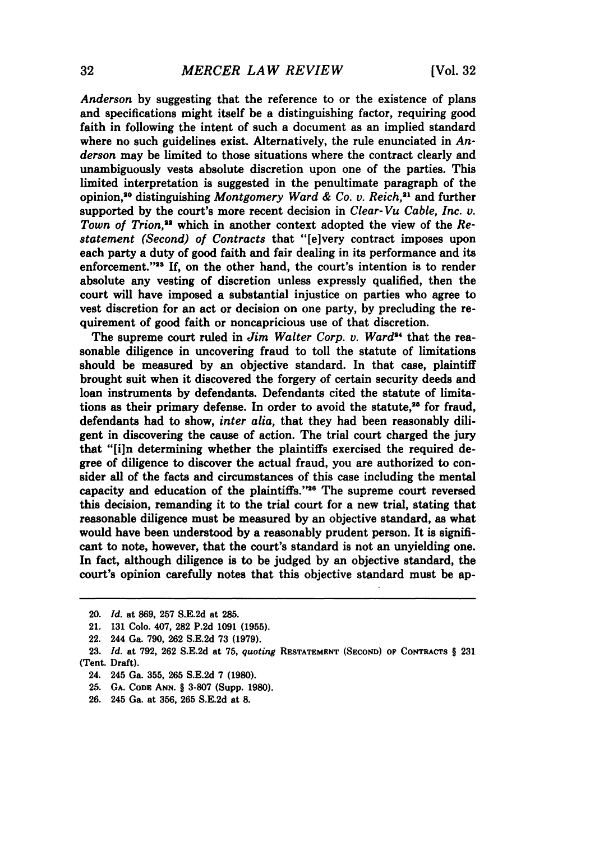*Anderson* **by** suggesting that the reference to or the existence of plans and specifications might itself be a distinguishing factor, requiring good faith in following the intent of such a document as an implied standard where no such guidelines exist. Alternatively, the rule enunciated in *Anderson* may be limited to those situations where the contract clearly and unambiguously vests absolute discretion upon one of the parties. This limited interpretation is suggested in the penultimate paragraph of the opinion, 0 distinguishing *Montgomery Ward & Co. v. Reich,"1* and further supported by the court's more recent decision in *Clear-Vu Cable, Inc. v. Town of Trion,"2* which in another context adopted the view of the *Restatement (Second) of Contracts* that "[e]very contract imposes upon each party a duty of good faith and fair dealing in its performance and its enforcement."<sup>33</sup> If, on the other hand, the court's intention is to render absolute any vesting of discretion unless expressly qualified, then the court will have imposed a substantial injustice on parties who agree to vest discretion for an act or decision on one party, by precluding the requirement of good faith or noncapricious use of that discretion.

The supreme court ruled in *Jim Walter Corp. v. Ward*<sup>24</sup> that the reasonable diligence in uncovering fraud to toll the statute of limitations should be measured by an objective standard. In that case, plaintiff brought suit when it discovered the forgery of certain security deeds and loan instruments by defendants. Defendants cited the statute of limitations as their primary defense. In order to avoid the statute.<sup>35</sup> for fraud, defendants had to show, *inter alia,* that they had been reasonably diligent in discovering the cause of action. The trial court charged the jury that "[i]n determining whether the plaintiffs exercised the required degree of diligence to discover the actual fraud, you are authorized to consider all of the facts and circumstances of this case including the mental capacity and education of the plaintiffs."<sup>26</sup> The supreme court reversed this decision, remanding it to the trial court for a new trial, stating that reasonable diligence must be measured by an objective standard, as what would have been understood by a reasonably prudent person. It is significant to note, however, that the court's standard is not an unyielding one. In fact, although diligence is to be judged by an objective standard, the court's opinion carefully notes that this objective standard must be ap-

22. 244 Ga. 790, 262 S.E.2d 73 **(1979).**

<sup>20.</sup> *Id.* at 869, 257 S.E.2d at 285.

<sup>21. 131</sup> Colo. 407, **282** P.2d 1091 (1955).

**<sup>23.</sup>** *Id.* at 792, 262 S.E.2d at 75, *quoting* **RESTATEMENT (SECOND) OF CONTRACTS** § 231 (Tent. Draft).

<sup>24. 245</sup> Ga. 355, 265 S.E.2d 7 **(1980).**

<sup>25.</sup> **GA.** CODE **ANN.** § 3-807 (Supp. 1980).

<sup>26. 245</sup> Ga. at 356, 265 S.E.2d at **8.**